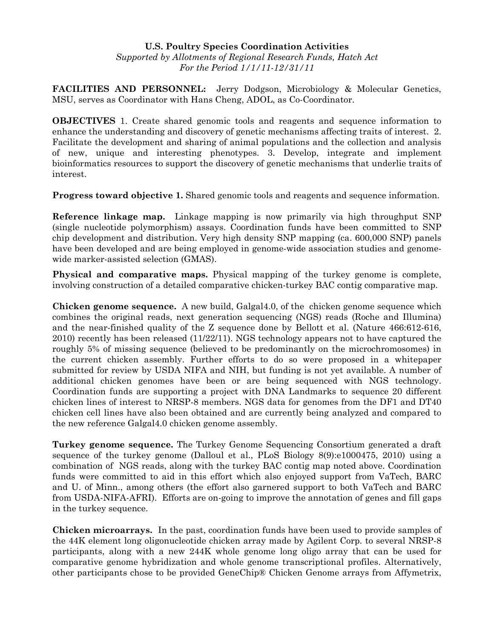## **U.S. Poultry Species Coordination Activities**  *Supported by Allotments of Regional Research Funds, Hatch Act For the Period 1/1/11-12/31/11*

**FACILITIES AND PERSONNEL:** Jerry Dodgson, Microbiology & Molecular Genetics, MSU, serves as Coordinator with Hans Cheng, ADOL, as Co-Coordinator.

**OBJECTIVES** 1. Create shared genomic tools and reagents and sequence information to enhance the understanding and discovery of genetic mechanisms affecting traits of interest. 2. Facilitate the development and sharing of animal populations and the collection and analysis of new, unique and interesting phenotypes. 3. Develop, integrate and implement bioinformatics resources to support the discovery of genetic mechanisms that underlie traits of interest.

**Progress toward objective 1.** Shared genomic tools and reagents and sequence information.

**Reference linkage map.** Linkage mapping is now primarily via high throughput SNP (single nucleotide polymorphism) assays. Coordination funds have been committed to SNP chip development and distribution. Very high density SNP mapping (ca. 600,000 SNP) panels have been developed and are being employed in genome-wide association studies and genomewide marker-assisted selection (GMAS).

**Physical and comparative maps.** Physical mapping of the turkey genome is complete, involving construction of a detailed comparative chicken-turkey BAC contig comparative map.

**Chicken genome sequence.** A new build, Galgal4.0, of the chicken genome sequence which combines the original reads, next generation sequencing (NGS) reads (Roche and Illumina) and the near-finished quality of the Z sequence done by Bellott et al. (Nature 466:612-616, 2010) recently has been released (11/22/11). NGS technology appears not to have captured the roughly 5% of missing sequence (believed to be predominantly on the microchromosomes) in the current chicken assembly. Further efforts to do so were proposed in a whitepaper submitted for review by USDA NIFA and NIH, but funding is not yet available. A number of additional chicken genomes have been or are being sequenced with NGS technology. Coordination funds are supporting a project with DNA Landmarks to sequence 20 different chicken lines of interest to NRSP-8 members. NGS data for genomes from the DF1 and DT40 chicken cell lines have also been obtained and are currently being analyzed and compared to the new reference Galgal4.0 chicken genome assembly.

**Turkey genome sequence.** The Turkey Genome Sequencing Consortium generated a draft sequence of the turkey genome (Dalloul et al., PLoS Biology 8(9):e1000475, 2010) using a combination of NGS reads, along with the turkey BAC contig map noted above. Coordination funds were committed to aid in this effort which also enjoyed support from VaTech, BARC and U. of Minn., among others (the effort also garnered support to both VaTech and BARC from USDA-NIFA-AFRI). Efforts are on-going to improve the annotation of genes and fill gaps in the turkey sequence.

**Chicken microarrays.** In the past, coordination funds have been used to provide samples of the 44K element long oligonucleotide chicken array made by Agilent Corp. to several NRSP-8 participants, along with a new 244K whole genome long oligo array that can be used for comparative genome hybridization and whole genome transcriptional profiles. Alternatively, other participants chose to be provided GeneChip® Chicken Genome arrays from Affymetrix,